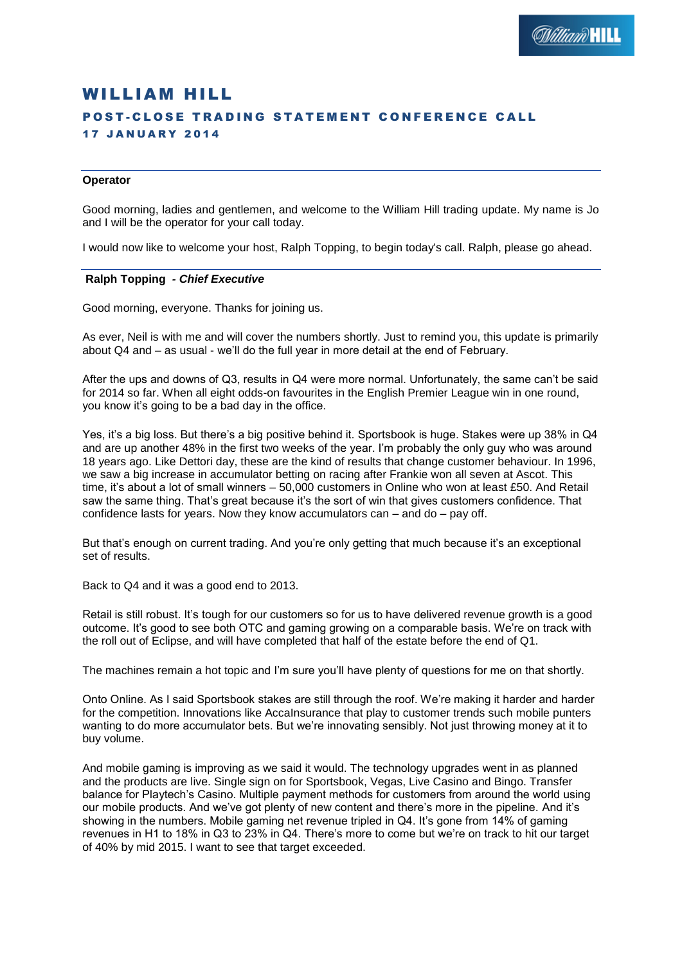# WILLIAM HILL POST-CLOSE TRADING STATEMENT CONFERENCE CALL 17 JANUARY 2014

## **Operator**

Good morning, ladies and gentlemen, and welcome to the William Hill trading update. My name is Jo and I will be the operator for your call today.

I would now like to welcome your host, Ralph Topping, to begin today's call. Ralph, please go ahead.

### **Ralph Topping** *- Chief Executive*

Good morning, everyone. Thanks for joining us.

As ever, Neil is with me and will cover the numbers shortly. Just to remind you, this update is primarily about Q4 and – as usual - we'll do the full year in more detail at the end of February.

After the ups and downs of Q3, results in Q4 were more normal. Unfortunately, the same can't be said for 2014 so far. When all eight odds-on favourites in the English Premier League win in one round, you know it's going to be a bad day in the office.

Yes, it's a big loss. But there's a big positive behind it. Sportsbook is huge. Stakes were up 38% in Q4 and are up another 48% in the first two weeks of the year. I'm probably the only guy who was around 18 years ago. Like Dettori day, these are the kind of results that change customer behaviour. In 1996, we saw a big increase in accumulator betting on racing after Frankie won all seven at Ascot. This time, it's about a lot of small winners – 50,000 customers in Online who won at least £50. And Retail saw the same thing. That's great because it's the sort of win that gives customers confidence. That confidence lasts for years. Now they know accumulators can – and do – pay off.

But that's enough on current trading. And you're only getting that much because it's an exceptional set of results.

Back to Q4 and it was a good end to 2013.

Retail is still robust. It's tough for our customers so for us to have delivered revenue growth is a good outcome. It's good to see both OTC and gaming growing on a comparable basis. We're on track with the roll out of Eclipse, and will have completed that half of the estate before the end of Q1.

The machines remain a hot topic and I'm sure you'll have plenty of questions for me on that shortly.

Onto Online. As I said Sportsbook stakes are still through the roof. We're making it harder and harder for the competition. Innovations like AccaInsurance that play to customer trends such mobile punters wanting to do more accumulator bets. But we're innovating sensibly. Not just throwing money at it to buy volume.

And mobile gaming is improving as we said it would. The technology upgrades went in as planned and the products are live. Single sign on for Sportsbook, Vegas, Live Casino and Bingo. Transfer balance for Playtech's Casino. Multiple payment methods for customers from around the world using our mobile products. And we've got plenty of new content and there's more in the pipeline. And it's showing in the numbers. Mobile gaming net revenue tripled in Q4. It's gone from 14% of gaming revenues in H1 to 18% in Q3 to 23% in Q4. There's more to come but we're on track to hit our target of 40% by mid 2015. I want to see that target exceeded.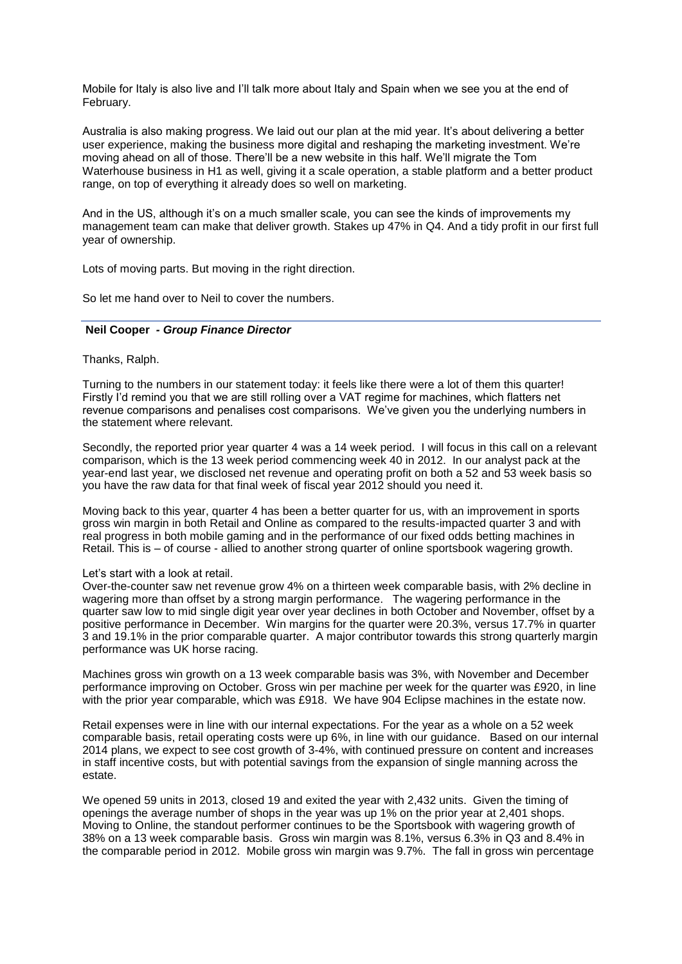Mobile for Italy is also live and I'll talk more about Italy and Spain when we see you at the end of February.

Australia is also making progress. We laid out our plan at the mid year. It's about delivering a better user experience, making the business more digital and reshaping the marketing investment. We're moving ahead on all of those. There'll be a new website in this half. We'll migrate the Tom Waterhouse business in H1 as well, giving it a scale operation, a stable platform and a better product range, on top of everything it already does so well on marketing.

And in the US, although it's on a much smaller scale, you can see the kinds of improvements my management team can make that deliver growth. Stakes up 47% in Q4. And a tidy profit in our first full year of ownership.

Lots of moving parts. But moving in the right direction.

So let me hand over to Neil to cover the numbers.

## **Neil Cooper** *- Group Finance Director*

### Thanks, Ralph.

Turning to the numbers in our statement today: it feels like there were a lot of them this quarter! Firstly I'd remind you that we are still rolling over a VAT regime for machines, which flatters net revenue comparisons and penalises cost comparisons. We've given you the underlying numbers in the statement where relevant.

Secondly, the reported prior year quarter 4 was a 14 week period. I will focus in this call on a relevant comparison, which is the 13 week period commencing week 40 in 2012. In our analyst pack at the year-end last year, we disclosed net revenue and operating profit on both a 52 and 53 week basis so you have the raw data for that final week of fiscal year 2012 should you need it.

Moving back to this year, quarter 4 has been a better quarter for us, with an improvement in sports gross win margin in both Retail and Online as compared to the results-impacted quarter 3 and with real progress in both mobile gaming and in the performance of our fixed odds betting machines in Retail. This is – of course - allied to another strong quarter of online sportsbook wagering growth.

### Let's start with a look at retail.

Over-the-counter saw net revenue grow 4% on a thirteen week comparable basis, with 2% decline in wagering more than offset by a strong margin performance. The wagering performance in the quarter saw low to mid single digit year over year declines in both October and November, offset by a positive performance in December. Win margins for the quarter were 20.3%, versus 17.7% in quarter 3 and 19.1% in the prior comparable quarter. A major contributor towards this strong quarterly margin performance was UK horse racing.

Machines gross win growth on a 13 week comparable basis was 3%, with November and December performance improving on October. Gross win per machine per week for the quarter was £920, in line with the prior year comparable, which was £918. We have 904 Eclipse machines in the estate now.

Retail expenses were in line with our internal expectations. For the year as a whole on a 52 week comparable basis, retail operating costs were up 6%, in line with our guidance. Based on our internal 2014 plans, we expect to see cost growth of 3-4%, with continued pressure on content and increases in staff incentive costs, but with potential savings from the expansion of single manning across the estate.

We opened 59 units in 2013, closed 19 and exited the year with 2,432 units. Given the timing of openings the average number of shops in the year was up 1% on the prior year at 2,401 shops. Moving to Online, the standout performer continues to be the Sportsbook with wagering growth of 38% on a 13 week comparable basis. Gross win margin was 8.1%, versus 6.3% in Q3 and 8.4% in the comparable period in 2012. Mobile gross win margin was 9.7%. The fall in gross win percentage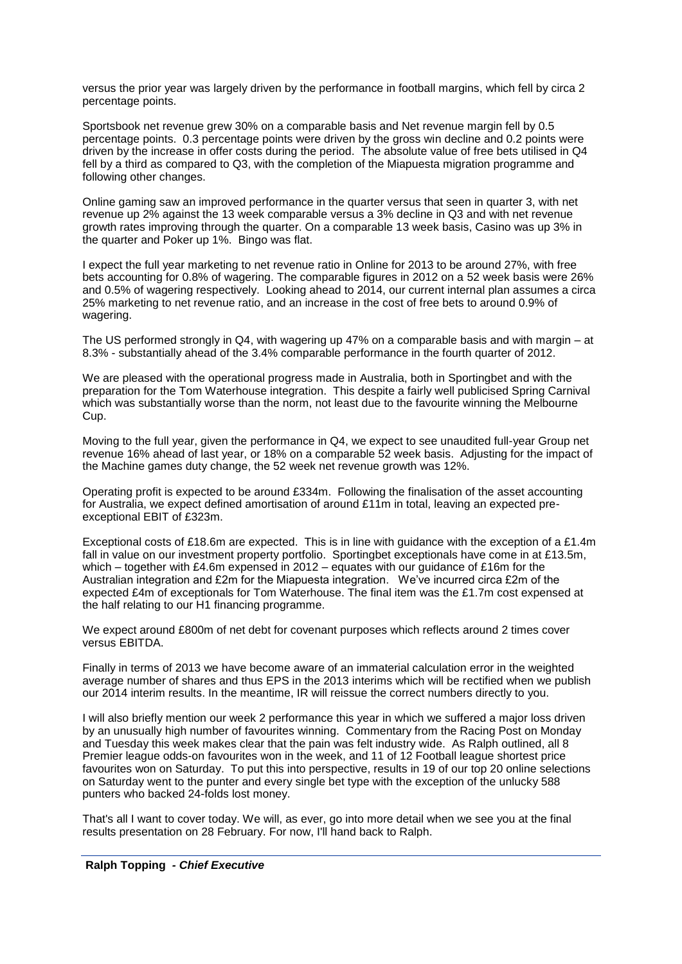versus the prior year was largely driven by the performance in football margins, which fell by circa 2 percentage points.

Sportsbook net revenue grew 30% on a comparable basis and Net revenue margin fell by 0.5 percentage points. 0.3 percentage points were driven by the gross win decline and 0.2 points were driven by the increase in offer costs during the period. The absolute value of free bets utilised in Q4 fell by a third as compared to Q3, with the completion of the Miapuesta migration programme and following other changes.

Online gaming saw an improved performance in the quarter versus that seen in quarter 3, with net revenue up 2% against the 13 week comparable versus a 3% decline in Q3 and with net revenue growth rates improving through the quarter. On a comparable 13 week basis, Casino was up 3% in the quarter and Poker up 1%. Bingo was flat.

I expect the full year marketing to net revenue ratio in Online for 2013 to be around 27%, with free bets accounting for 0.8% of wagering. The comparable figures in 2012 on a 52 week basis were 26% and 0.5% of wagering respectively. Looking ahead to 2014, our current internal plan assumes a circa 25% marketing to net revenue ratio, and an increase in the cost of free bets to around 0.9% of wagering.

The US performed strongly in Q4, with wagering up 47% on a comparable basis and with margin – at 8.3% - substantially ahead of the 3.4% comparable performance in the fourth quarter of 2012.

We are pleased with the operational progress made in Australia, both in Sportingbet and with the preparation for the Tom Waterhouse integration. This despite a fairly well publicised Spring Carnival which was substantially worse than the norm, not least due to the favourite winning the Melbourne Cup.

Moving to the full year, given the performance in Q4, we expect to see unaudited full-year Group net revenue 16% ahead of last year, or 18% on a comparable 52 week basis. Adjusting for the impact of the Machine games duty change, the 52 week net revenue growth was 12%.

Operating profit is expected to be around £334m. Following the finalisation of the asset accounting for Australia, we expect defined amortisation of around £11m in total, leaving an expected preexceptional EBIT of £323m.

Exceptional costs of £18.6m are expected. This is in line with guidance with the exception of a £1.4m fall in value on our investment property portfolio. Sportingbet exceptionals have come in at £13.5m, which – together with £4.6m expensed in 2012 – equates with our guidance of £16m for the Australian integration and £2m for the Miapuesta integration. We've incurred circa £2m of the expected £4m of exceptionals for Tom Waterhouse. The final item was the £1.7m cost expensed at the half relating to our H1 financing programme.

We expect around £800m of net debt for covenant purposes which reflects around 2 times cover versus EBITDA.

Finally in terms of 2013 we have become aware of an immaterial calculation error in the weighted average number of shares and thus EPS in the 2013 interims which will be rectified when we publish our 2014 interim results. In the meantime, IR will reissue the correct numbers directly to you.

I will also briefly mention our week 2 performance this year in which we suffered a major loss driven by an unusually high number of favourites winning. Commentary from the Racing Post on Monday and Tuesday this week makes clear that the pain was felt industry wide. As Ralph outlined, all 8 Premier league odds-on favourites won in the week, and 11 of 12 Football league shortest price favourites won on Saturday. To put this into perspective, results in 19 of our top 20 online selections on Saturday went to the punter and every single bet type with the exception of the unlucky 588 punters who backed 24-folds lost money.

That's all I want to cover today. We will, as ever, go into more detail when we see you at the final results presentation on 28 February. For now, I'll hand back to Ralph.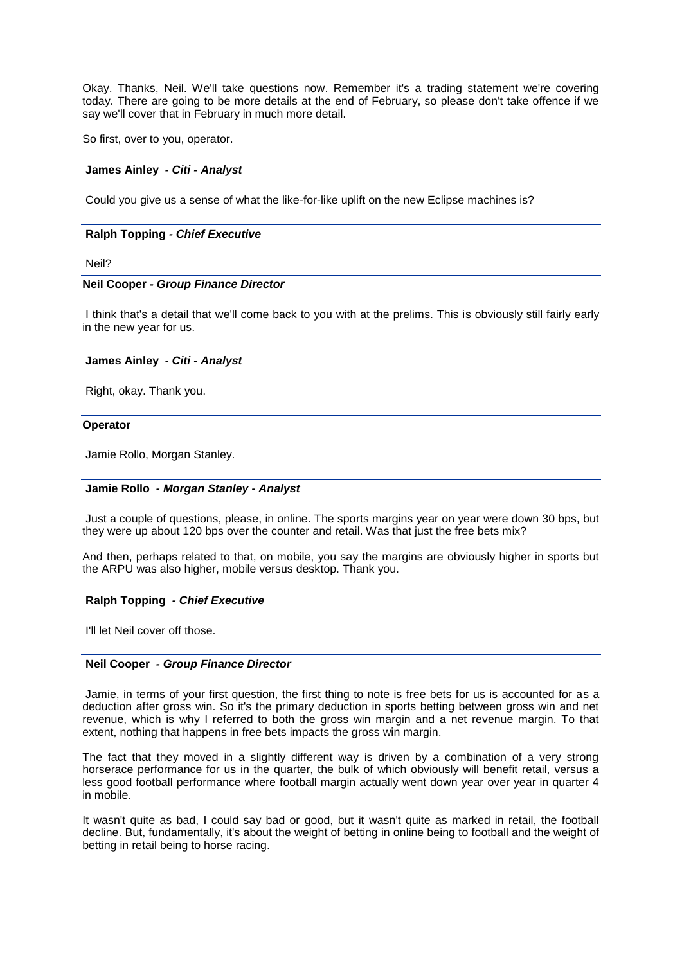Okay. Thanks, Neil. We'll take questions now. Remember it's a trading statement we're covering today. There are going to be more details at the end of February, so please don't take offence if we say we'll cover that in February in much more detail.

So first, over to you, operator.

### **James Ainley** *- Citi - Analyst*

Could you give us a sense of what the like-for-like uplift on the new Eclipse machines is?

## **Ralph Topping** *- Chief Executive*

Neil?

## **Neil Cooper** *- Group Finance Director*

I think that's a detail that we'll come back to you with at the prelims. This is obviously still fairly early in the new year for us.

## **James Ainley** *- Citi - Analyst*

Right, okay. Thank you.

#### **Operator**

Jamie Rollo, Morgan Stanley.

## **Jamie Rollo** *- Morgan Stanley - Analyst*

Just a couple of questions, please, in online. The sports margins year on year were down 30 bps, but they were up about 120 bps over the counter and retail. Was that just the free bets mix?

And then, perhaps related to that, on mobile, you say the margins are obviously higher in sports but the ARPU was also higher, mobile versus desktop. Thank you.

#### **Ralph Topping** *- Chief Executive*

I'll let Neil cover off those.

### **Neil Cooper** *- Group Finance Director*

Jamie, in terms of your first question, the first thing to note is free bets for us is accounted for as a deduction after gross win. So it's the primary deduction in sports betting between gross win and net revenue, which is why I referred to both the gross win margin and a net revenue margin. To that extent, nothing that happens in free bets impacts the gross win margin.

The fact that they moved in a slightly different way is driven by a combination of a very strong horserace performance for us in the quarter, the bulk of which obviously will benefit retail, versus a less good football performance where football margin actually went down year over year in quarter 4 in mobile.

It wasn't quite as bad, I could say bad or good, but it wasn't quite as marked in retail, the football decline. But, fundamentally, it's about the weight of betting in online being to football and the weight of betting in retail being to horse racing.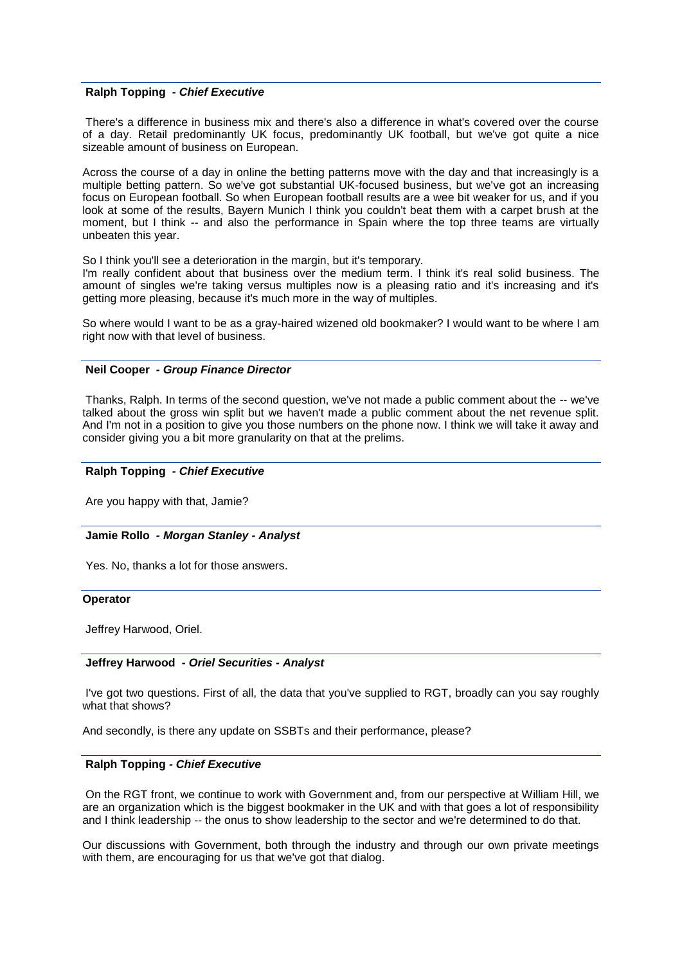### **Ralph Topping** *- Chief Executive*

There's a difference in business mix and there's also a difference in what's covered over the course of a day. Retail predominantly UK focus, predominantly UK football, but we've got quite a nice sizeable amount of business on European.

Across the course of a day in online the betting patterns move with the day and that increasingly is a multiple betting pattern. So we've got substantial UK-focused business, but we've got an increasing focus on European football. So when European football results are a wee bit weaker for us, and if you look at some of the results, Bayern Munich I think you couldn't beat them with a carpet brush at the moment, but I think -- and also the performance in Spain where the top three teams are virtually unbeaten this year.

So I think you'll see a deterioration in the margin, but it's temporary.

I'm really confident about that business over the medium term. I think it's real solid business. The amount of singles we're taking versus multiples now is a pleasing ratio and it's increasing and it's getting more pleasing, because it's much more in the way of multiples.

So where would I want to be as a gray-haired wizened old bookmaker? I would want to be where I am right now with that level of business.

### **Neil Cooper** *- Group Finance Director*

Thanks, Ralph. In terms of the second question, we've not made a public comment about the -- we've talked about the gross win split but we haven't made a public comment about the net revenue split. And I'm not in a position to give you those numbers on the phone now. I think we will take it away and consider giving you a bit more granularity on that at the prelims.

### **Ralph Topping** *- Chief Executive*

Are you happy with that, Jamie?

### **Jamie Rollo** *- Morgan Stanley - Analyst*

Yes. No, thanks a lot for those answers.

### **Operator**

Jeffrey Harwood, Oriel.

### **Jeffrey Harwood** *- Oriel Securities - Analyst*

I've got two questions. First of all, the data that you've supplied to RGT, broadly can you say roughly what that shows?

And secondly, is there any update on SSBTs and their performance, please?

## **Ralph Topping** *- Chief Executive*

On the RGT front, we continue to work with Government and, from our perspective at William Hill, we are an organization which is the biggest bookmaker in the UK and with that goes a lot of responsibility and I think leadership -- the onus to show leadership to the sector and we're determined to do that.

Our discussions with Government, both through the industry and through our own private meetings with them, are encouraging for us that we've got that dialog.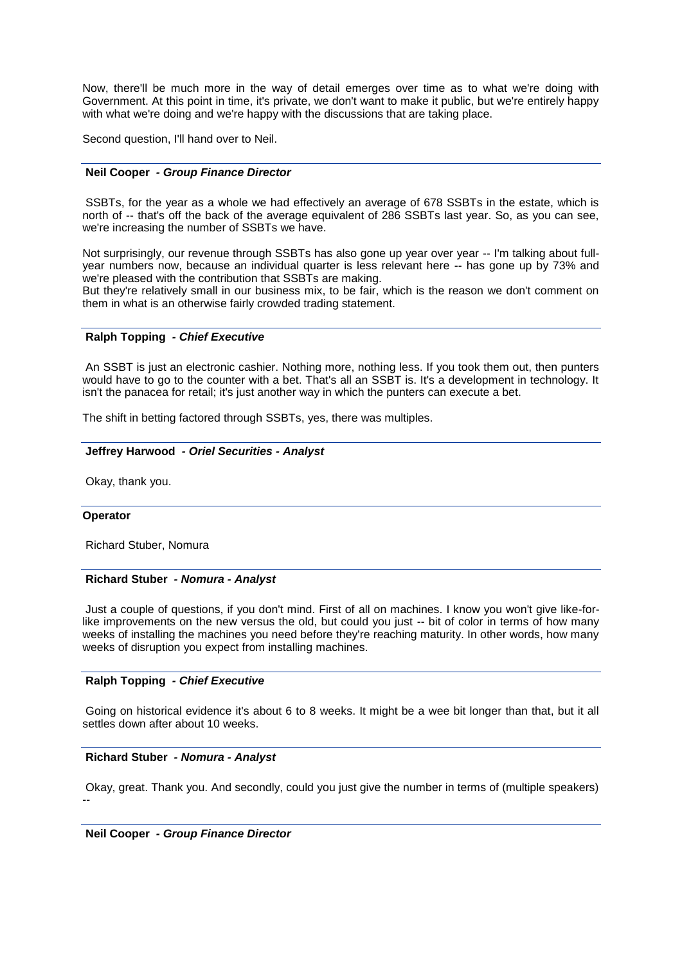Now, there'll be much more in the way of detail emerges over time as to what we're doing with Government. At this point in time, it's private, we don't want to make it public, but we're entirely happy with what we're doing and we're happy with the discussions that are taking place.

Second question, I'll hand over to Neil.

### **Neil Cooper** *- Group Finance Director*

SSBTs, for the year as a whole we had effectively an average of 678 SSBTs in the estate, which is north of -- that's off the back of the average equivalent of 286 SSBTs last year. So, as you can see, we're increasing the number of SSBTs we have.

Not surprisingly, our revenue through SSBTs has also gone up year over year -- I'm talking about fullyear numbers now, because an individual quarter is less relevant here -- has gone up by 73% and we're pleased with the contribution that SSBTs are making.

But they're relatively small in our business mix, to be fair, which is the reason we don't comment on them in what is an otherwise fairly crowded trading statement.

## **Ralph Topping** *- Chief Executive*

An SSBT is just an electronic cashier. Nothing more, nothing less. If you took them out, then punters would have to go to the counter with a bet. That's all an SSBT is. It's a development in technology. It isn't the panacea for retail; it's just another way in which the punters can execute a bet.

The shift in betting factored through SSBTs, yes, there was multiples.

### **Jeffrey Harwood** *- Oriel Securities - Analyst*

Okay, thank you.

### **Operator**

Richard Stuber, Nomura

### **Richard Stuber** *- Nomura - Analyst*

Just a couple of questions, if you don't mind. First of all on machines. I know you won't give like-forlike improvements on the new versus the old, but could you just -- bit of color in terms of how many weeks of installing the machines you need before they're reaching maturity. In other words, how many weeks of disruption you expect from installing machines.

### **Ralph Topping** *- Chief Executive*

Going on historical evidence it's about 6 to 8 weeks. It might be a wee bit longer than that, but it all settles down after about 10 weeks.

### **Richard Stuber** *- Nomura - Analyst*

Okay, great. Thank you. And secondly, could you just give the number in terms of (multiple speakers) --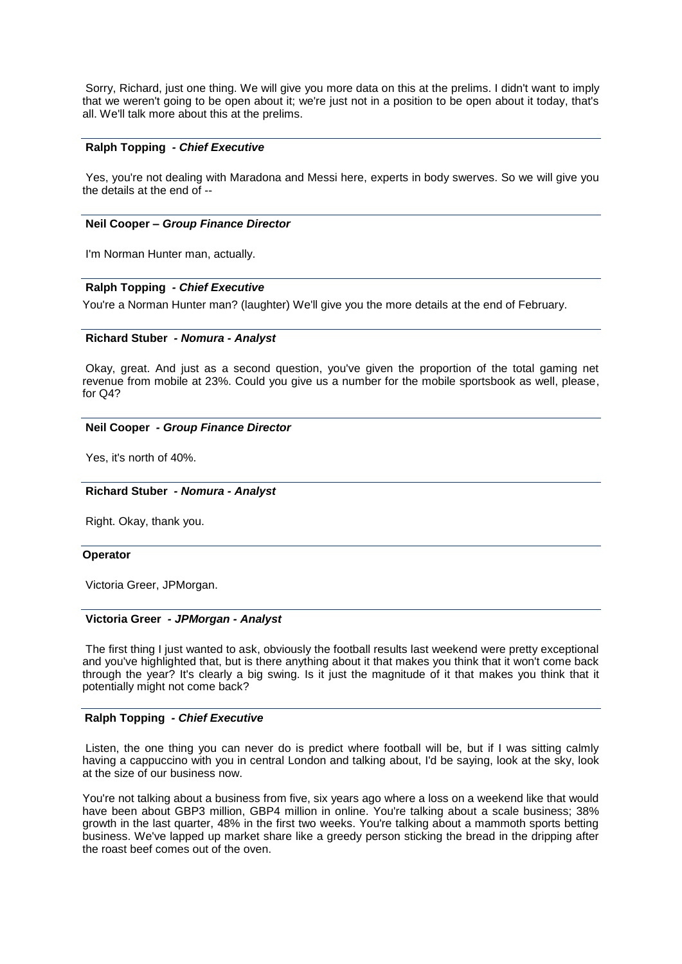Sorry, Richard, just one thing. We will give you more data on this at the prelims. I didn't want to imply that we weren't going to be open about it; we're just not in a position to be open about it today, that's all. We'll talk more about this at the prelims.

## **Ralph Topping** *- Chief Executive*

Yes, you're not dealing with Maradona and Messi here, experts in body swerves. So we will give you the details at the end of --

### **Neil Cooper –** *Group Finance Director*

I'm Norman Hunter man, actually.

## **Ralph Topping** *- Chief Executive*

You're a Norman Hunter man? (laughter) We'll give you the more details at the end of February.

### **Richard Stuber** *- Nomura - Analyst*

Okay, great. And just as a second question, you've given the proportion of the total gaming net revenue from mobile at 23%. Could you give us a number for the mobile sportsbook as well, please, for Q4?

## **Neil Cooper** *- Group Finance Director*

Yes, it's north of 40%.

### **Richard Stuber** *- Nomura - Analyst*

Right. Okay, thank you.

### **Operator**

Victoria Greer, JPMorgan.

### **Victoria Greer** *- JPMorgan - Analyst*

The first thing I just wanted to ask, obviously the football results last weekend were pretty exceptional and you've highlighted that, but is there anything about it that makes you think that it won't come back through the year? It's clearly a big swing. Is it just the magnitude of it that makes you think that it potentially might not come back?

## **Ralph Topping** *- Chief Executive*

Listen, the one thing you can never do is predict where football will be, but if I was sitting calmly having a cappuccino with you in central London and talking about, I'd be saying, look at the sky, look at the size of our business now.

You're not talking about a business from five, six years ago where a loss on a weekend like that would have been about GBP3 million, GBP4 million in online. You're talking about a scale business; 38% growth in the last quarter, 48% in the first two weeks. You're talking about a mammoth sports betting business. We've lapped up market share like a greedy person sticking the bread in the dripping after the roast beef comes out of the oven.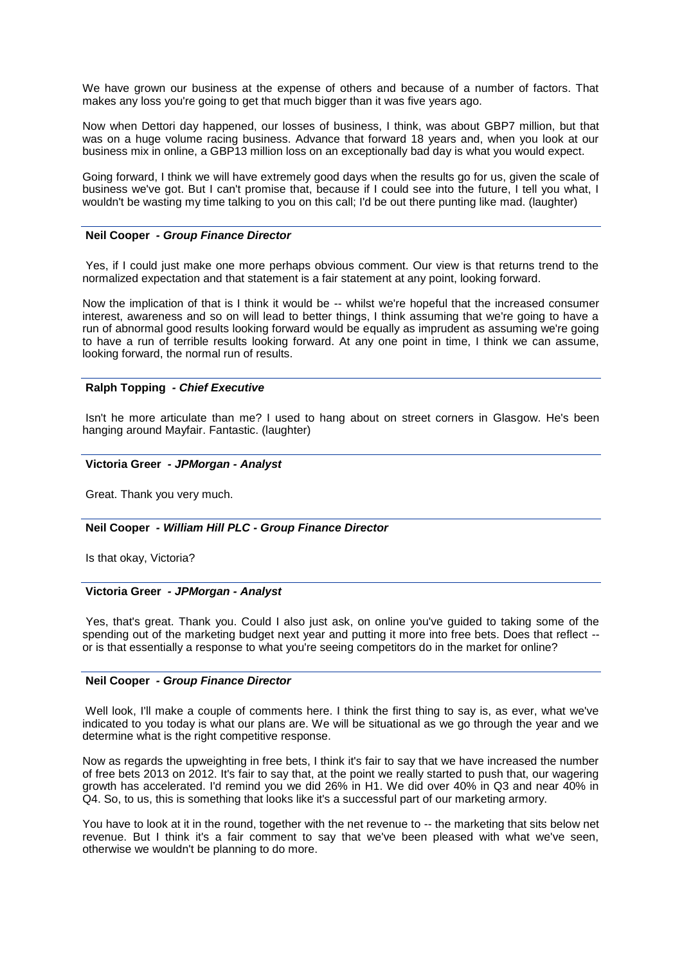We have grown our business at the expense of others and because of a number of factors. That makes any loss you're going to get that much bigger than it was five years ago.

Now when Dettori day happened, our losses of business, I think, was about GBP7 million, but that was on a huge volume racing business. Advance that forward 18 years and, when you look at our business mix in online, a GBP13 million loss on an exceptionally bad day is what you would expect.

Going forward, I think we will have extremely good days when the results go for us, given the scale of business we've got. But I can't promise that, because if I could see into the future, I tell you what, I wouldn't be wasting my time talking to you on this call; I'd be out there punting like mad. (laughter)

### **Neil Cooper** *- Group Finance Director*

Yes, if I could just make one more perhaps obvious comment. Our view is that returns trend to the normalized expectation and that statement is a fair statement at any point, looking forward.

Now the implication of that is I think it would be -- whilst we're hopeful that the increased consumer interest, awareness and so on will lead to better things, I think assuming that we're going to have a run of abnormal good results looking forward would be equally as imprudent as assuming we're going to have a run of terrible results looking forward. At any one point in time, I think we can assume, looking forward, the normal run of results.

## **Ralph Topping** *- Chief Executive*

Isn't he more articulate than me? I used to hang about on street corners in Glasgow. He's been hanging around Mayfair. Fantastic. (laughter)

### **Victoria Greer** *- JPMorgan - Analyst*

Great. Thank you very much.

## **Neil Cooper** *- William Hill PLC - Group Finance Director*

Is that okay, Victoria?

## **Victoria Greer** *- JPMorgan - Analyst*

Yes, that's great. Thank you. Could I also just ask, on online you've guided to taking some of the spending out of the marketing budget next year and putting it more into free bets. Does that reflect - or is that essentially a response to what you're seeing competitors do in the market for online?

### **Neil Cooper** *- Group Finance Director*

Well look, I'll make a couple of comments here. I think the first thing to say is, as ever, what we've indicated to you today is what our plans are. We will be situational as we go through the year and we determine what is the right competitive response.

Now as regards the upweighting in free bets, I think it's fair to say that we have increased the number of free bets 2013 on 2012. It's fair to say that, at the point we really started to push that, our wagering growth has accelerated. I'd remind you we did 26% in H1. We did over 40% in Q3 and near 40% in Q4. So, to us, this is something that looks like it's a successful part of our marketing armory.

You have to look at it in the round, together with the net revenue to -- the marketing that sits below net revenue. But I think it's a fair comment to say that we've been pleased with what we've seen, otherwise we wouldn't be planning to do more.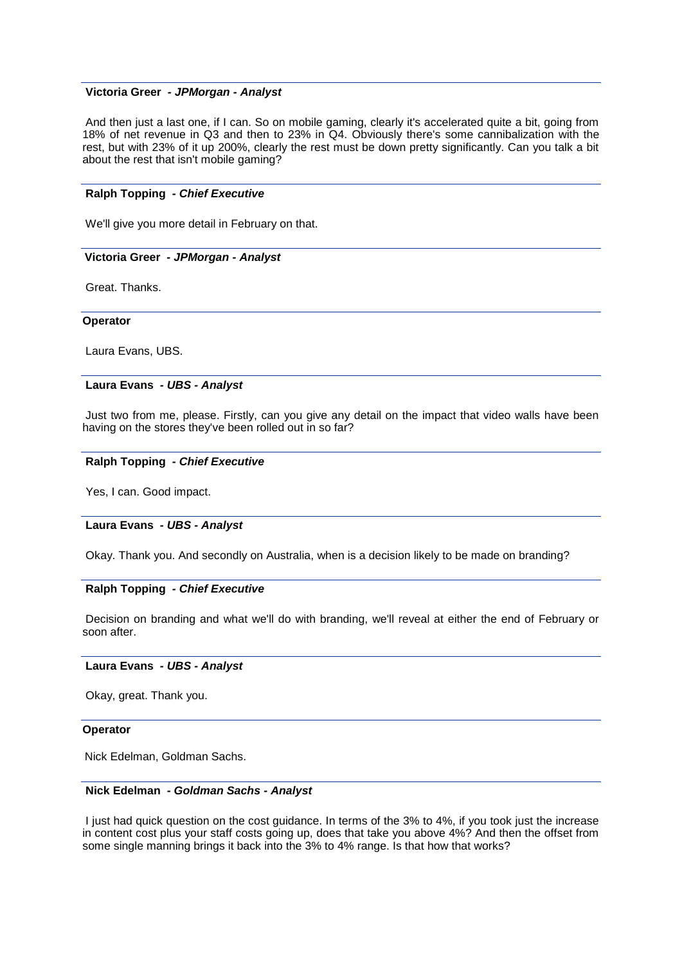## **Victoria Greer** *- JPMorgan - Analyst*

And then just a last one, if I can. So on mobile gaming, clearly it's accelerated quite a bit, going from 18% of net revenue in Q3 and then to 23% in Q4. Obviously there's some cannibalization with the rest, but with 23% of it up 200%, clearly the rest must be down pretty significantly. Can you talk a bit about the rest that isn't mobile gaming?

## **Ralph Topping** *- Chief Executive*

We'll give you more detail in February on that.

## **Victoria Greer** *- JPMorgan - Analyst*

Great. Thanks.

### **Operator**

Laura Evans, UBS.

## **Laura Evans** *- UBS - Analyst*

Just two from me, please. Firstly, can you give any detail on the impact that video walls have been having on the stores they've been rolled out in so far?

### **Ralph Topping** *- Chief Executive*

Yes, I can. Good impact.

### **Laura Evans** *- UBS - Analyst*

Okay. Thank you. And secondly on Australia, when is a decision likely to be made on branding?

## **Ralph Topping** *- Chief Executive*

Decision on branding and what we'll do with branding, we'll reveal at either the end of February or soon after.

## **Laura Evans** *- UBS - Analyst*

Okay, great. Thank you.

#### **Operator**

Nick Edelman, Goldman Sachs.

## **Nick Edelman** *- Goldman Sachs - Analyst*

I just had quick question on the cost guidance. In terms of the 3% to 4%, if you took just the increase in content cost plus your staff costs going up, does that take you above 4%? And then the offset from some single manning brings it back into the 3% to 4% range. Is that how that works?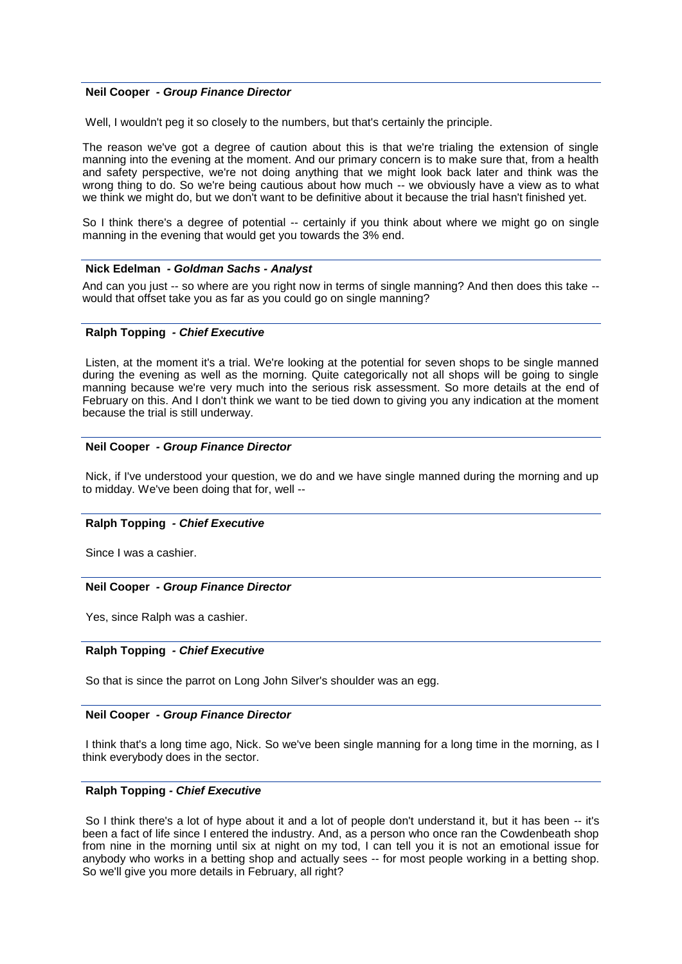## **Neil Cooper** *- Group Finance Director*

Well, I wouldn't peg it so closely to the numbers, but that's certainly the principle.

The reason we've got a degree of caution about this is that we're trialing the extension of single manning into the evening at the moment. And our primary concern is to make sure that, from a health and safety perspective, we're not doing anything that we might look back later and think was the wrong thing to do. So we're being cautious about how much -- we obviously have a view as to what we think we might do, but we don't want to be definitive about it because the trial hasn't finished yet.

So I think there's a degree of potential -- certainly if you think about where we might go on single manning in the evening that would get you towards the 3% end.

### **Nick Edelman** *- Goldman Sachs - Analyst*

And can you just -- so where are you right now in terms of single manning? And then does this take -would that offset take you as far as you could go on single manning?

### **Ralph Topping** *- Chief Executive*

Listen, at the moment it's a trial. We're looking at the potential for seven shops to be single manned during the evening as well as the morning. Quite categorically not all shops will be going to single manning because we're very much into the serious risk assessment. So more details at the end of February on this. And I don't think we want to be tied down to giving you any indication at the moment because the trial is still underway.

### **Neil Cooper** *- Group Finance Director*

Nick, if I've understood your question, we do and we have single manned during the morning and up to midday. We've been doing that for, well --

### **Ralph Topping** *- Chief Executive*

Since I was a cashier.

## **Neil Cooper** *- Group Finance Director*

Yes, since Ralph was a cashier.

## **Ralph Topping** *- Chief Executive*

So that is since the parrot on Long John Silver's shoulder was an egg.

### **Neil Cooper** *- Group Finance Director*

I think that's a long time ago, Nick. So we've been single manning for a long time in the morning, as I think everybody does in the sector.

## **Ralph Topping** *- Chief Executive*

So I think there's a lot of hype about it and a lot of people don't understand it, but it has been -- it's been a fact of life since I entered the industry. And, as a person who once ran the Cowdenbeath shop from nine in the morning until six at night on my tod, I can tell you it is not an emotional issue for anybody who works in a betting shop and actually sees -- for most people working in a betting shop. So we'll give you more details in February, all right?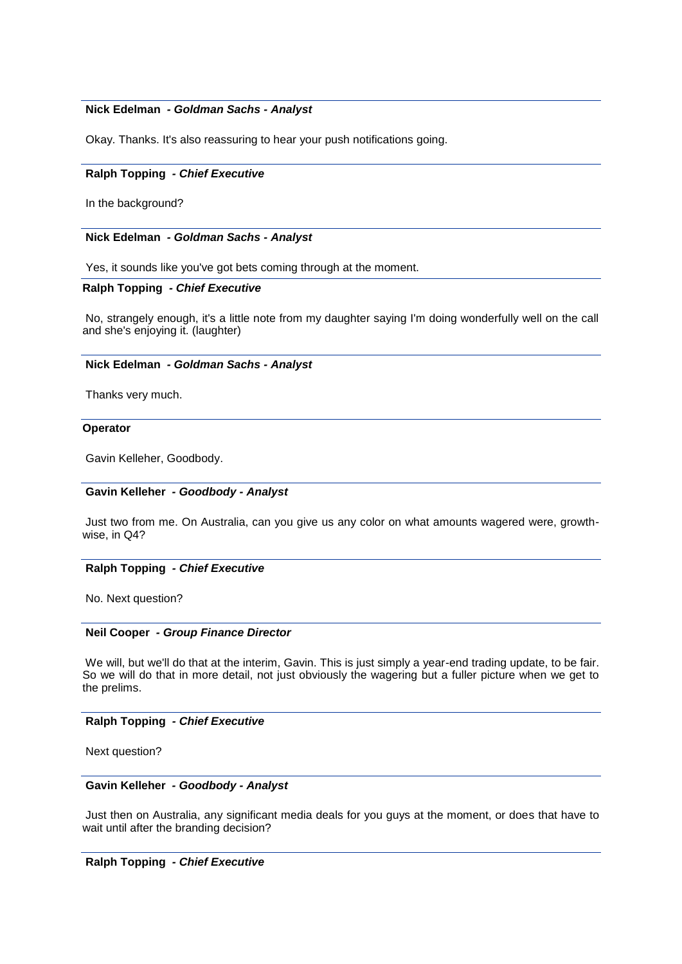## **Nick Edelman** *- Goldman Sachs - Analyst*

Okay. Thanks. It's also reassuring to hear your push notifications going.

## **Ralph Topping** *- Chief Executive*

In the background?

### **Nick Edelman** *- Goldman Sachs - Analyst*

Yes, it sounds like you've got bets coming through at the moment.

## **Ralph Topping** *- Chief Executive*

No, strangely enough, it's a little note from my daughter saying I'm doing wonderfully well on the call and she's enjoying it. (laughter)

### **Nick Edelman** *- Goldman Sachs - Analyst*

Thanks very much.

## **Operator**

Gavin Kelleher, Goodbody.

## **Gavin Kelleher** *- Goodbody - Analyst*

Just two from me. On Australia, can you give us any color on what amounts wagered were, growthwise, in Q4?

### **Ralph Topping** *- Chief Executive*

No. Next question?

## **Neil Cooper** *- Group Finance Director*

We will, but we'll do that at the interim, Gavin. This is just simply a year-end trading update, to be fair. So we will do that in more detail, not just obviously the wagering but a fuller picture when we get to the prelims.

## **Ralph Topping** *- Chief Executive*

Next question?

## **Gavin Kelleher** *- Goodbody - Analyst*

Just then on Australia, any significant media deals for you guys at the moment, or does that have to wait until after the branding decision?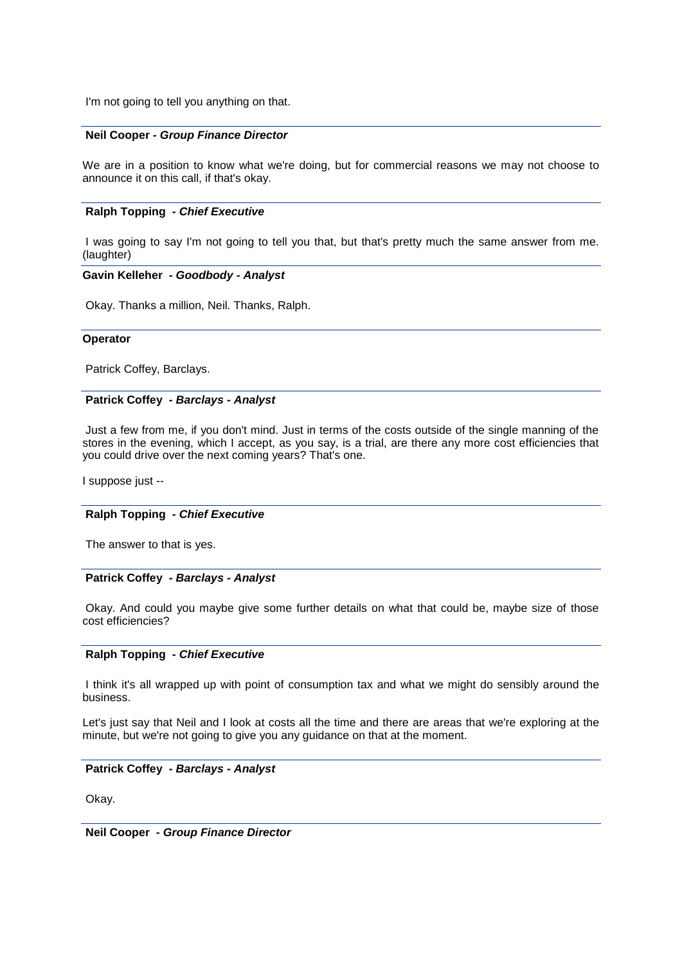I'm not going to tell you anything on that.

## **Neil Cooper** *- Group Finance Director*

We are in a position to know what we're doing, but for commercial reasons we may not choose to announce it on this call, if that's okay.

## **Ralph Topping** *- Chief Executive*

I was going to say I'm not going to tell you that, but that's pretty much the same answer from me. (laughter)

## **Gavin Kelleher** *- Goodbody - Analyst*

Okay. Thanks a million, Neil. Thanks, Ralph.

### **Operator**

Patrick Coffey, Barclays.

## **Patrick Coffey** *- Barclays - Analyst*

Just a few from me, if you don't mind. Just in terms of the costs outside of the single manning of the stores in the evening, which I accept, as you say, is a trial, are there any more cost efficiencies that you could drive over the next coming years? That's one.

I suppose just --

### **Ralph Topping** *- Chief Executive*

The answer to that is yes.

## **Patrick Coffey** *- Barclays - Analyst*

Okay. And could you maybe give some further details on what that could be, maybe size of those cost efficiencies?

## **Ralph Topping** *- Chief Executive*

I think it's all wrapped up with point of consumption tax and what we might do sensibly around the business.

Let's just say that Neil and I look at costs all the time and there are areas that we're exploring at the minute, but we're not going to give you any guidance on that at the moment.

## **Patrick Coffey** *- Barclays - Analyst*

Okay.

**Neil Cooper** *- Group Finance Director*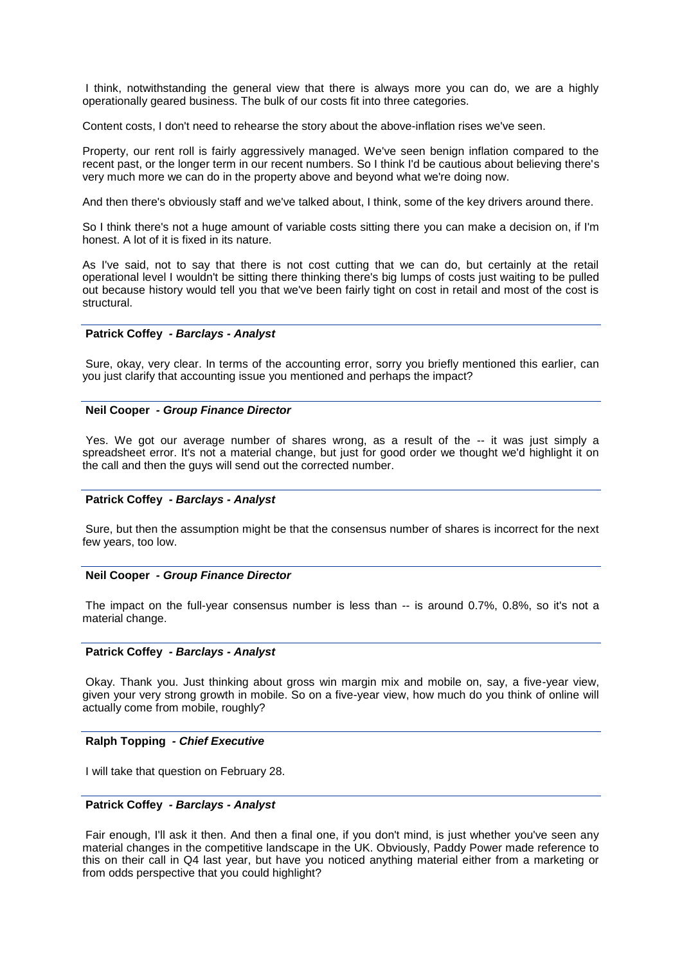I think, notwithstanding the general view that there is always more you can do, we are a highly operationally geared business. The bulk of our costs fit into three categories.

Content costs, I don't need to rehearse the story about the above-inflation rises we've seen.

Property, our rent roll is fairly aggressively managed. We've seen benign inflation compared to the recent past, or the longer term in our recent numbers. So I think I'd be cautious about believing there's very much more we can do in the property above and beyond what we're doing now.

And then there's obviously staff and we've talked about, I think, some of the key drivers around there.

So I think there's not a huge amount of variable costs sitting there you can make a decision on, if I'm honest. A lot of it is fixed in its nature.

As I've said, not to say that there is not cost cutting that we can do, but certainly at the retail operational level I wouldn't be sitting there thinking there's big lumps of costs just waiting to be pulled out because history would tell you that we've been fairly tight on cost in retail and most of the cost is structural.

## **Patrick Coffey** *- Barclays - Analyst*

Sure, okay, very clear. In terms of the accounting error, sorry you briefly mentioned this earlier, can you just clarify that accounting issue you mentioned and perhaps the impact?

### **Neil Cooper** *- Group Finance Director*

Yes. We got our average number of shares wrong, as a result of the -- it was just simply a spreadsheet error. It's not a material change, but just for good order we thought we'd highlight it on the call and then the guys will send out the corrected number.

## **Patrick Coffey** *- Barclays - Analyst*

Sure, but then the assumption might be that the consensus number of shares is incorrect for the next few years, too low.

### **Neil Cooper** *- Group Finance Director*

The impact on the full-year consensus number is less than -- is around 0.7%, 0.8%, so it's not a material change.

### **Patrick Coffey** *- Barclays - Analyst*

Okay. Thank you. Just thinking about gross win margin mix and mobile on, say, a five-year view, given your very strong growth in mobile. So on a five-year view, how much do you think of online will actually come from mobile, roughly?

#### **Ralph Topping** *- Chief Executive*

I will take that question on February 28.

### **Patrick Coffey** *- Barclays - Analyst*

Fair enough, I'll ask it then. And then a final one, if you don't mind, is just whether you've seen any material changes in the competitive landscape in the UK. Obviously, Paddy Power made reference to this on their call in Q4 last year, but have you noticed anything material either from a marketing or from odds perspective that you could highlight?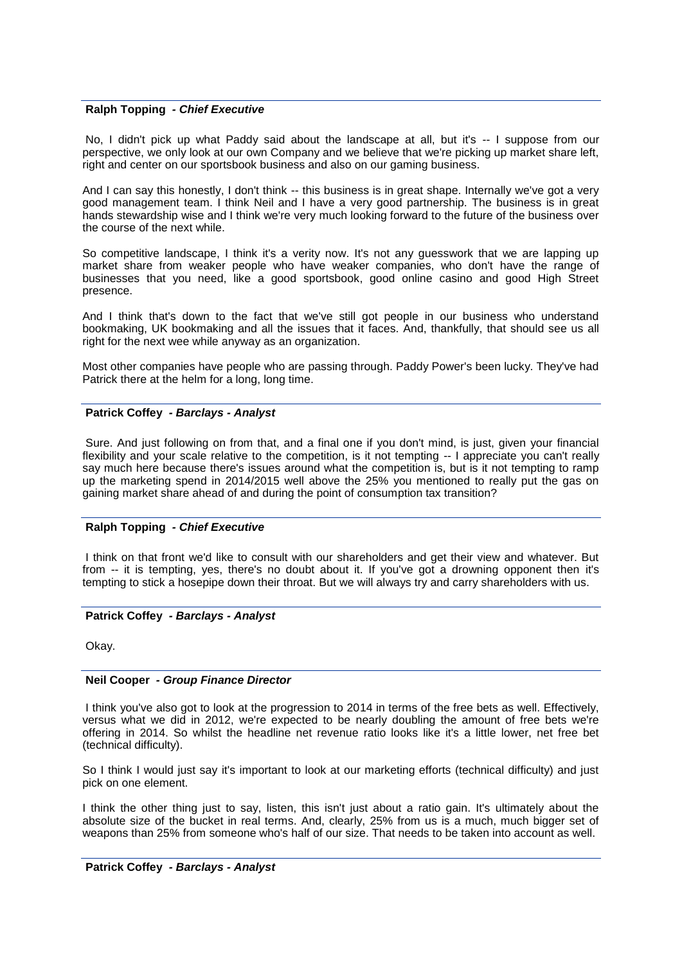## **Ralph Topping** *- Chief Executive*

No, I didn't pick up what Paddy said about the landscape at all, but it's -- I suppose from our perspective, we only look at our own Company and we believe that we're picking up market share left, right and center on our sportsbook business and also on our gaming business.

And I can say this honestly, I don't think -- this business is in great shape. Internally we've got a very good management team. I think Neil and I have a very good partnership. The business is in great hands stewardship wise and I think we're very much looking forward to the future of the business over the course of the next while.

So competitive landscape, I think it's a verity now. It's not any guesswork that we are lapping up market share from weaker people who have weaker companies, who don't have the range of businesses that you need, like a good sportsbook, good online casino and good High Street presence.

And I think that's down to the fact that we've still got people in our business who understand bookmaking, UK bookmaking and all the issues that it faces. And, thankfully, that should see us all right for the next wee while anyway as an organization.

Most other companies have people who are passing through. Paddy Power's been lucky. They've had Patrick there at the helm for a long, long time.

### **Patrick Coffey** *- Barclays - Analyst*

Sure. And just following on from that, and a final one if you don't mind, is just, given your financial flexibility and your scale relative to the competition, is it not tempting -- I appreciate you can't really say much here because there's issues around what the competition is, but is it not tempting to ramp up the marketing spend in 2014/2015 well above the 25% you mentioned to really put the gas on gaining market share ahead of and during the point of consumption tax transition?

### **Ralph Topping** *- Chief Executive*

I think on that front we'd like to consult with our shareholders and get their view and whatever. But from -- it is tempting, yes, there's no doubt about it. If you've got a drowning opponent then it's tempting to stick a hosepipe down their throat. But we will always try and carry shareholders with us.

## **Patrick Coffey** *- Barclays - Analyst*

Okay.

### **Neil Cooper** *- Group Finance Director*

I think you've also got to look at the progression to 2014 in terms of the free bets as well. Effectively, versus what we did in 2012, we're expected to be nearly doubling the amount of free bets we're offering in 2014. So whilst the headline net revenue ratio looks like it's a little lower, net free bet (technical difficulty).

So I think I would just say it's important to look at our marketing efforts (technical difficulty) and just pick on one element.

I think the other thing just to say, listen, this isn't just about a ratio gain. It's ultimately about the absolute size of the bucket in real terms. And, clearly, 25% from us is a much, much bigger set of weapons than 25% from someone who's half of our size. That needs to be taken into account as well.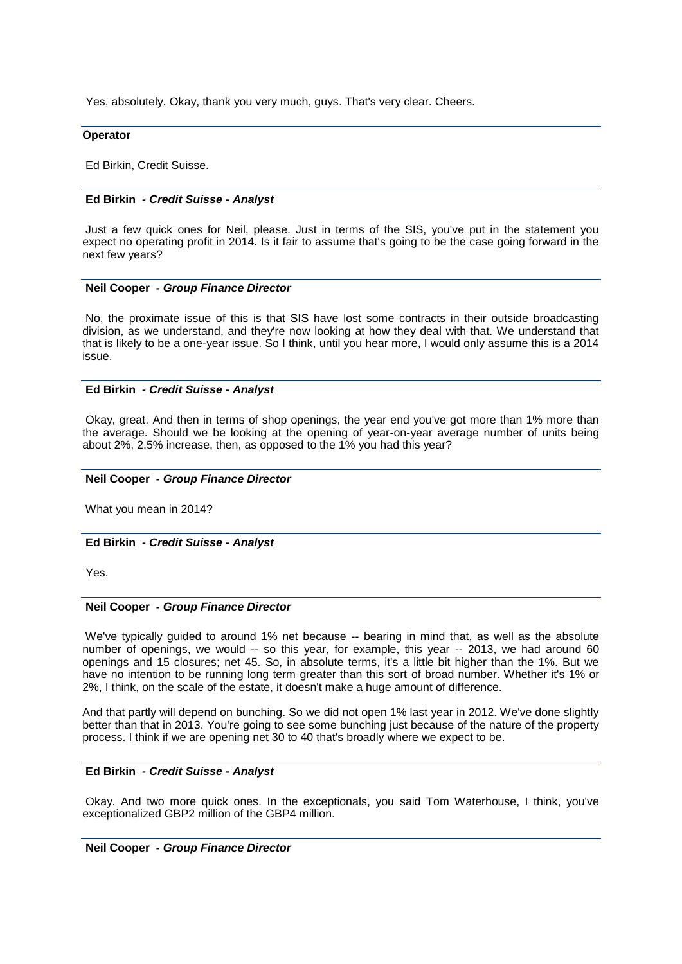Yes, absolutely. Okay, thank you very much, guys. That's very clear. Cheers.

### **Operator**

Ed Birkin, Credit Suisse.

## **Ed Birkin** *- Credit Suisse - Analyst*

Just a few quick ones for Neil, please. Just in terms of the SIS, you've put in the statement you expect no operating profit in 2014. Is it fair to assume that's going to be the case going forward in the next few years?

### **Neil Cooper** *- Group Finance Director*

No, the proximate issue of this is that SIS have lost some contracts in their outside broadcasting division, as we understand, and they're now looking at how they deal with that. We understand that that is likely to be a one-year issue. So I think, until you hear more, I would only assume this is a 2014 issue.

### **Ed Birkin** *- Credit Suisse - Analyst*

Okay, great. And then in terms of shop openings, the year end you've got more than 1% more than the average. Should we be looking at the opening of year-on-year average number of units being about 2%, 2.5% increase, then, as opposed to the 1% you had this year?

### **Neil Cooper** *- Group Finance Director*

What you mean in 2014?

### **Ed Birkin** *- Credit Suisse - Analyst*

Yes.

## **Neil Cooper** *- Group Finance Director*

We've typically guided to around 1% net because -- bearing in mind that, as well as the absolute number of openings, we would -- so this year, for example, this year -- 2013, we had around 60 openings and 15 closures; net 45. So, in absolute terms, it's a little bit higher than the 1%. But we have no intention to be running long term greater than this sort of broad number. Whether it's 1% or 2%, I think, on the scale of the estate, it doesn't make a huge amount of difference.

And that partly will depend on bunching. So we did not open 1% last year in 2012. We've done slightly better than that in 2013. You're going to see some bunching just because of the nature of the property process. I think if we are opening net 30 to 40 that's broadly where we expect to be.

## **Ed Birkin** *- Credit Suisse - Analyst*

Okay. And two more quick ones. In the exceptionals, you said Tom Waterhouse, I think, you've exceptionalized GBP2 million of the GBP4 million.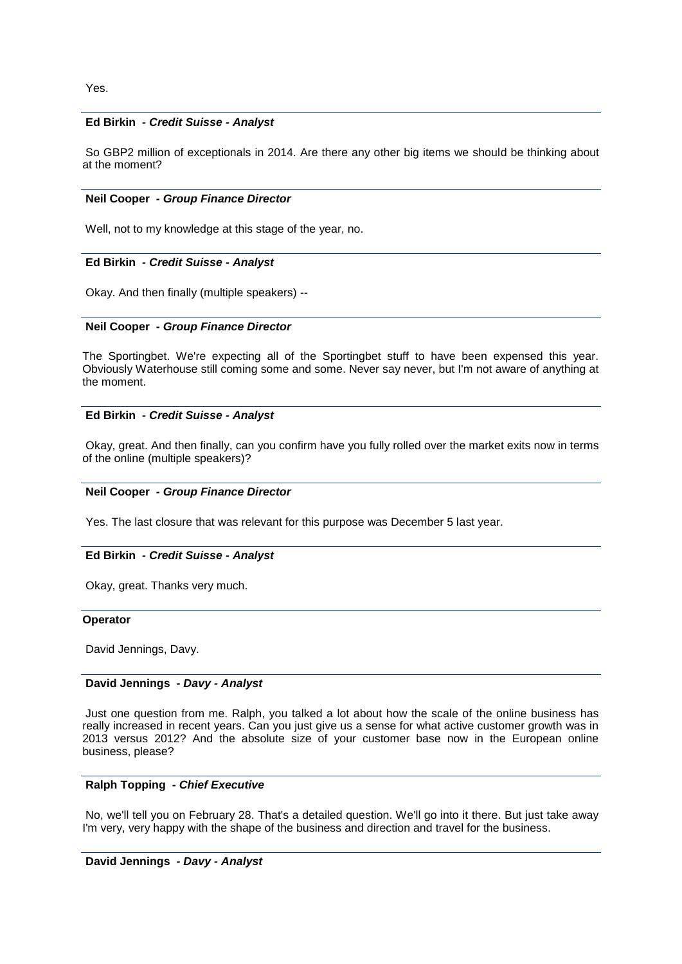Yes.

## **Ed Birkin** *- Credit Suisse - Analyst*

So GBP2 million of exceptionals in 2014. Are there any other big items we should be thinking about at the moment?

## **Neil Cooper** *- Group Finance Director*

Well, not to my knowledge at this stage of the year, no.

## **Ed Birkin** *- Credit Suisse - Analyst*

Okay. And then finally (multiple speakers) --

## **Neil Cooper** *- Group Finance Director*

The Sportingbet. We're expecting all of the Sportingbet stuff to have been expensed this year. Obviously Waterhouse still coming some and some. Never say never, but I'm not aware of anything at the moment.

## **Ed Birkin** *- Credit Suisse - Analyst*

Okay, great. And then finally, can you confirm have you fully rolled over the market exits now in terms of the online (multiple speakers)?

## **Neil Cooper** *- Group Finance Director*

Yes. The last closure that was relevant for this purpose was December 5 last year.

## **Ed Birkin** *- Credit Suisse - Analyst*

Okay, great. Thanks very much.

## **Operator**

David Jennings, Davy.

## **David Jennings** *- Davy - Analyst*

Just one question from me. Ralph, you talked a lot about how the scale of the online business has really increased in recent years. Can you just give us a sense for what active customer growth was in 2013 versus 2012? And the absolute size of your customer base now in the European online business, please?

## **Ralph Topping** *- Chief Executive*

No, we'll tell you on February 28. That's a detailed question. We'll go into it there. But just take away I'm very, very happy with the shape of the business and direction and travel for the business.